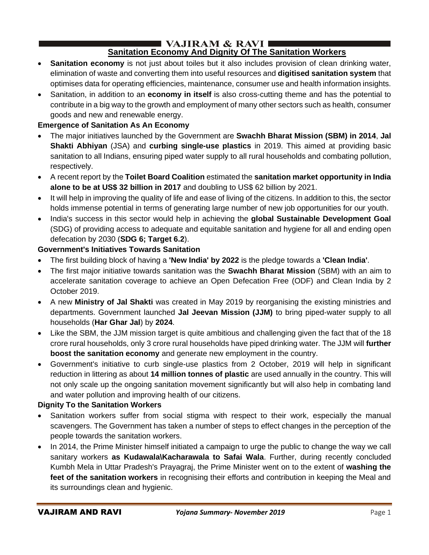#### $\blacksquare$  VAJIRAM & RAVI $\blacksquare$ **Sanitation Economy And Dignity Of The Sanitation Workers**

- **Sanitation economy** is not just about toiles but it also includes provision of clean drinking water, elimination of waste and converting them into useful resources and **digitised sanitation system** that optimises data for operating efficiencies, maintenance, consumer use and health information insights.
- Sanitation, in addition to an **economy in itself** is also cross-cutting theme and has the potential to contribute in a big way to the growth and employment of many other sectors such as health, consumer goods and new and renewable energy.

### **Emergence of Sanitation As An Economy**

- The major initiatives launched by the Government are **Swachh Bharat Mission (SBM) in 2014**, **Jal Shakti Abhiyan** (JSA) and **curbing single-use plastics** in 2019. This aimed at providing basic sanitation to all Indians, ensuring piped water supply to all rural households and combating pollution, respectively.
- A recent report by the **Toilet Board Coalition** estimated the **sanitation market opportunity in India alone to be at US\$ 32 billion in 2017** and doubling to US\$ 62 billion by 2021.
- It will help in improving the quality of life and ease of living of the citizens. In addition to this, the sector holds immense potential in terms of generating large number of new job opportunities for our youth.
- India's success in this sector would help in achieving the **global Sustainable Development Goal**  (SDG) of providing access to adequate and equitable sanitation and hygiene for all and ending open defecation by 2030 (**SDG 6; Target 6.2**).

### **Government's Initiatives Towards Sanitation**

- The first building block of having a **'New India' by 2022** is the pledge towards a **'Clean India'**.
- The first major initiative towards sanitation was the **Swachh Bharat Mission** (SBM) with an aim to accelerate sanitation coverage to achieve an Open Defecation Free (ODF) and Clean India by 2 October 2019.
- A new **Ministry of Jal Shakti** was created in May 2019 by reorganising the existing ministries and departments. Government launched **Jal Jeevan Mission (JJM)** to bring piped-water supply to all households (**Har Ghar Jal**) by **2024**.
- Like the SBM, the JJM mission target is quite ambitious and challenging given the fact that of the 18 crore rural households, only 3 crore rural households have piped drinking water. The JJM will **further boost the sanitation economy** and generate new employment in the country.
- Government's initiative to curb single-use plastics from 2 October, 2019 will help in significant reduction in littering as about **14 million tonnes of plastic** are used annually in the country. This will not only scale up the ongoing sanitation movement significantly but will also help in combating land and water pollution and improving health of our citizens.

### **Dignity To the Sanitation Workers**

- Sanitation workers suffer from social stigma with respect to their work, especially the manual scavengers. The Government has taken a number of steps to effect changes in the perception of the people towards the sanitation workers.
- In 2014, the Prime Minister himself initiated a campaign to urge the public to change the way we call sanitary workers **as Kudawala\Kacharawala to Safai Wala**. Further, during recently concluded Kumbh Mela in Uttar Pradesh's Prayagraj, the Prime Minister went on to the extent of **washing the feet of the sanitation workers** in recognising their efforts and contribution in keeping the Meal and its surroundings clean and hygienic.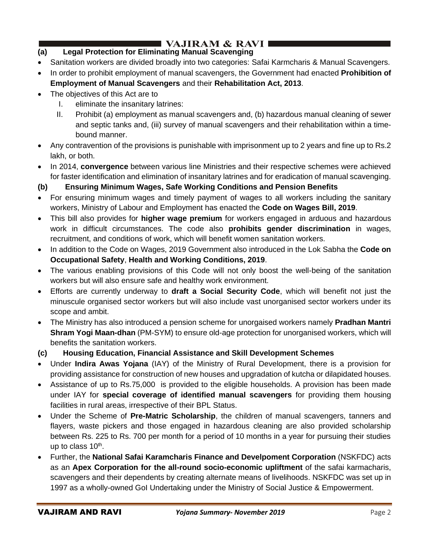# I VAJIRAM & RAVI ∎

## **(a) Legal Protection for Eliminating Manual Scavenging**

- Sanitation workers are divided broadly into two categories: Safai Karmcharis & Manual Scavengers.
- In order to prohibit employment of manual scavengers, the Government had enacted **Prohibition of Employment of Manual Scavengers** and their **Rehabilitation Act, 2013**.
- The objectives of this Act are to
	- I. eliminate the insanitary latrines:
	- II. Prohibit (a) employment as manual scavengers and, (b) hazardous manual cleaning of sewer and septic tanks and, (iii) survey of manual scavengers and their rehabilitation within a timebound manner.
- Any contravention of the provisions is punishable with imprisonment up to 2 years and fine up to Rs.2 lakh, or both.
- In 2014, **convergence** between various line Ministries and their respective schemes were achieved for faster identification and elimination of insanitary latrines and for eradication of manual scavenging.

### **(b) Ensuring Minimum Wages, Safe Working Conditions and Pension Benefits**

- For ensuring minimum wages and timely payment of wages to all workers including the sanitary workers, Ministry of Labour and Employment has enacted the **Code on Wages Bill, 2019**.
- This bill also provides for **higher wage premium** for workers engaged in arduous and hazardous work in difficult circumstances. The code also **prohibits gender discrimination** in wages, recruitment, and conditions of work, which will benefit women sanitation workers.
- In addition to the Code on Wages, 2019 Government also introduced in the Lok Sabha the **Code on Occupational Safety**, **Health and Working Conditions, 2019**.
- The various enabling provisions of this Code will not only boost the well-being of the sanitation workers but will also ensure safe and healthy work environment.
- Efforts are currently underway to **draft a Social Security Code**, which will benefit not just the minuscule organised sector workers but will also include vast unorganised sector workers under its scope and ambit.
- The Ministry has also introduced a pension scheme for unorgaised workers namely **Pradhan Mantri Shram Yogi Maan-dhan** (PM-SYM) to ensure old-age protection for unorganised workers, which will benefits the sanitation workers.
- **(c) Housing Education, Financial Assistance and Skill Development Schemes**
- Under **Indira Awas Yojana** (IAY) of the Ministry of Rural Development, there is a provision for providing assistance for construction of new houses and upgradation of kutcha or dilapidated houses.
- Assistance of up to Rs.75,000 is provided to the eligible households. A provision has been made under IAY for **special coverage of identified manual scavengers** for providing them housing facilities in rural areas, irrespective of their BPL Status.
- Under the Scheme of **Pre-Matric Scholarship**, the children of manual scavengers, tanners and flayers, waste pickers and those engaged in hazardous cleaning are also provided scholarship between Rs. 225 to Rs. 700 per month for a period of 10 months in a year for pursuing their studies up to class  $10<sup>th</sup>$ .
- Further, the **National Safai Karamcharis Finance and Develpoment Corporation** (NSKFDC) acts as an **Apex Corporation for the all-round socio-economic upliftment** of the safai karmacharis, scavengers and their dependents by creating alternate means of livelihoods. NSKFDC was set up in 1997 as a wholly-owned GoI Undertaking under the Ministry of Social Justice & Empowerment.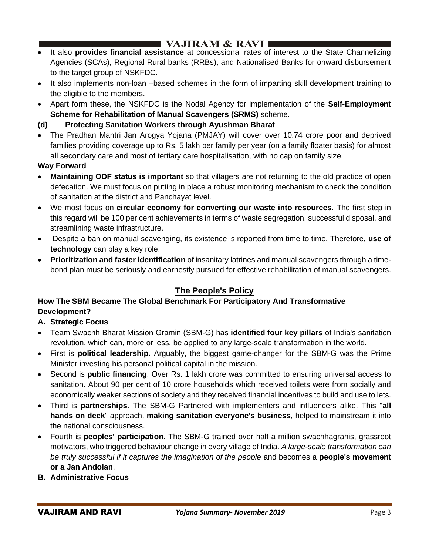## I VAJIRAM & RAVI ■

- It also **provides financial assistance** at concessional rates of interest to the State Channelizing Agencies (SCAs), Regional Rural banks (RRBs), and Nationalised Banks for onward disbursement to the target group of NSKFDC.
- It also implements non-loan –based schemes in the form of imparting skill development training to the eligible to the members.
- Apart form these, the NSKFDC is the Nodal Agency for implementation of the **Self-Employment Scheme for Rehabilitation of Manual Scavengers (SRMS)** scheme.
- **(d) Protecting Sanitation Workers through Ayushman Bharat**
- The Pradhan Mantri Jan Arogya Yojana (PMJAY) will cover over 10.74 crore poor and deprived families providing coverage up to Rs. 5 lakh per family per year (on a family floater basis) for almost all secondary care and most of tertiary care hospitalisation, with no cap on family size.

### **Way Forward**

- **Maintaining ODF status is important** so that villagers are not returning to the old practice of open defecation. We must focus on putting in place a robust monitoring mechanism to check the condition of sanitation at the district and Panchayat level.
- We most focus on **circular economy for converting our waste into resources**. The first step in this regard will be 100 per cent achievements in terms of waste segregation, successful disposal, and streamlining waste infrastructure.
- Despite a ban on manual scavenging, its existence is reported from time to time. Therefore, **use of technology** can play a key role.
- **Prioritization and faster identification** of insanitary latrines and manual scavengers through a timebond plan must be seriously and earnestly pursued for effective rehabilitation of manual scavengers.

## **The People's Policy**

### **How The SBM Became The Global Benchmark For Participatory And Transformative Development?**

### **A. Strategic Focus**

- Team Swachh Bharat Mission Gramin (SBM-G) has **identified four key pillars** of India's sanitation revolution, which can, more or less, be applied to any large-scale transformation in the world.
- First is **political leadership.** Arguably, the biggest game-changer for the SBM-G was the Prime Minister investing his personal political capital in the mission.
- Second is **public financing**. Over Rs. 1 lakh crore was committed to ensuring universal access to sanitation. About 90 per cent of 10 crore households which received toilets were from socially and economically weaker sections of society and they received financial incentives to build and use toilets.
- Third is **partnerships**. The SBM-G Partnered with implementers and influencers alike. This "**all hands on deck**" approach, **making sanitation everyone's business**, helped to mainstream it into the national consciousness.
- Fourth is **peoples' participation**. The SBM-G trained over half a million swachhagrahis, grassroot motivators, who triggered behaviour change in every village of India. *A large-scale transformation can be truly successful if it captures the imagination of the people* and becomes a **people's movement or a Jan Andolan**.
- **B. Administrative Focus**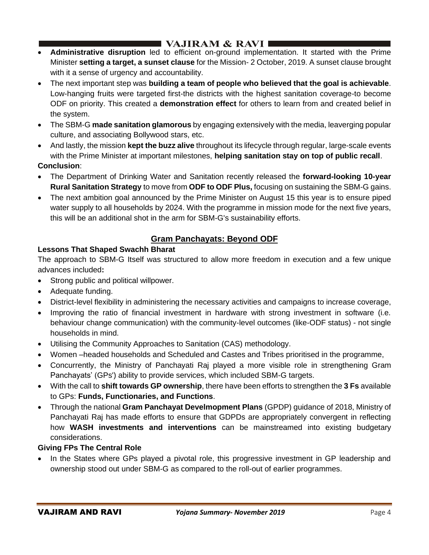## **I** VAJIRAM & RAVI  $\blacksquare$

- **Administrative disruption** led to efficient on-ground implementation. It started with the Prime Minister **setting a target, a sunset clause** for the Mission- 2 October, 2019. A sunset clause brought with it a sense of urgency and accountability.
- The next important step was **building a team of people who believed that the goal is achievable**. Low-hanging fruits were targeted first-the districts with the highest sanitation coverage-to become ODF on priority. This created a **demonstration effect** for others to learn from and created belief in the system.
- The SBM-G **made sanitation glamorous** by engaging extensively with the media, leaverging popular culture, and associating Bollywood stars, etc.
- And lastly, the mission **kept the buzz alive** throughout its lifecycle through regular, large-scale events with the Prime Minister at important milestones, **helping sanitation stay on top of public recall**. **Conclusion**:
- The Department of Drinking Water and Sanitation recently released the **forward-looking 10-year Rural Sanitation Strategy** to move from **ODF to ODF Plus,** focusing on sustaining the SBM-G gains.
- The next ambition goal announced by the Prime Minister on August 15 this year is to ensure piped water supply to all households by 2024. With the programme in mission mode for the next five years, this will be an additional shot in the arm for SBM-G's sustainability efforts.

## **Gram Panchayats: Beyond ODF**

### **Lessons That Shaped Swachh Bharat**

The approach to SBM-G Itself was structured to allow more freedom in execution and a few unique advances included**:**

- Strong public and political willpower.
- Adequate funding.
- District-level flexibility in administering the necessary activities and campaigns to increase coverage,
- Improving the ratio of financial investment in hardware with strong investment in software (i.e. behaviour change communication) with the community-level outcomes (like-ODF status) - not single households in mind.
- Utilising the Community Approaches to Sanitation (CAS) methodology.
- Women –headed households and Scheduled and Castes and Tribes prioritised in the programme,
- Concurrently, the Ministry of Panchayati Raj played a more visible role in strengthening Gram Panchayats' (GPs') ability to provide services, which included SBM-G targets.
- With the call to **shift towards GP ownership**, there have been efforts to strengthen the **3 Fs** available to GPs: **Funds, Functionaries, and Functions**.
- Through the national **Gram Panchayat Develmopment Plans** (GPDP) guidance of 2018, Ministry of Panchayati Raj has made efforts to ensure that GDPDs are appropriately convergent in reflecting how **WASH investments and interventions** can be mainstreamed into existing budgetary considerations.

### **Giving FPs The Central Role**

• In the States where GPs played a pivotal role, this progressive investment in GP leadership and ownership stood out under SBM-G as compared to the roll-out of earlier programmes.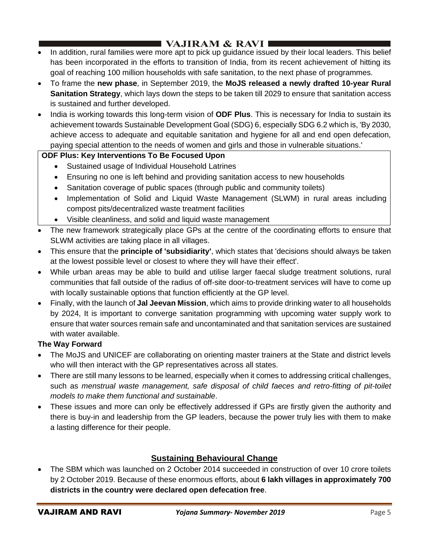# $\blacksquare$  VAJIRAM & RAVI  $\blacksquare$

- In addition, rural families were more apt to pick up guidance issued by their local leaders. This belief has been incorporated in the efforts to transition of India, from its recent achievement of hitting its goal of reaching 100 million households with safe sanitation, to the next phase of programmes.
- To frame the **new phase**, in September 2019, the **MoJS released a newly drafted 10-year Rural Sanitation Strategy**, which lays down the steps to be taken till 2029 to ensure that sanitation access is sustained and further developed.
- India is working towards this long-term vision of **ODF Plus**. This is necessary for India to sustain its achievement towards Sustainable Development Goal (SDG) 6, especially SDG 6.2 which is, 'By 2030, achieve access to adequate and equitable sanitation and hygiene for all and end open defecation, paying special attention to the needs of women and girls and those in vulnerable situations.'

### **ODF Plus: Key Interventions To Be Focused Upon**

- Sustained usage of Individual Household Latrines
- Ensuring no one is left behind and providing sanitation access to new households
- Sanitation coverage of public spaces (through public and community toilets)
- Implementation of Solid and Liquid Waste Management (SLWM) in rural areas including compost pits/decentralized waste treatment facilities
- Visible cleanliness, and solid and liquid waste management
- The new framework strategically place GPs at the centre of the coordinating efforts to ensure that SLWM activities are taking place in all villages.
- This ensure that the **principle of 'subsidiarity'**, which states that 'decisions should always be taken at the lowest possible level or closest to where they will have their effect'.
- While urban areas may be able to build and utilise larger faecal sludge treatment solutions, rural communities that fall outside of the radius of off-site door-to-treatment services will have to come up with locally sustainable options that function efficiently at the GP level.
- Finally, with the launch of **Jal Jeevan Mission**, which aims to provide drinking water to all households by 2024, It is important to converge sanitation programming with upcoming water supply work to ensure that water sources remain safe and uncontaminated and that sanitation services are sustained with water available.

### **The Way Forward**

- The MoJS and UNICEF are collaborating on orienting master trainers at the State and district levels who will then interact with the GP representatives across all states.
- There are still many lessons to be learned, especially when it comes to addressing critical challenges, such as *menstrual waste management, safe disposal of child faeces and retro-fitting of pit-toilet models to make them functional and sustainable*.
- These issues and more can only be effectively addressed if GPs are firstly given the authority and there is buy-in and leadership from the GP leaders, because the power truly lies with them to make a lasting difference for their people.

## **Sustaining Behavioural Change**

• The SBM which was launched on 2 October 2014 succeeded in construction of over 10 crore toilets by 2 October 2019. Because of these enormous efforts, about **6 lakh villages in approximately 700 districts in the country were declared open defecation free**.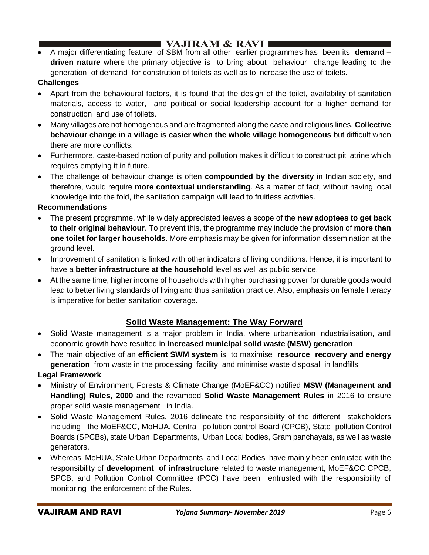# **I VAJIRAM & RAVI**  $\blacksquare$

• A major differentiating feature of SBM from all other earlier programmes has been its **demand – driven nature** where the primary objective is to bring about behaviour change leading to the generation of demand for constrution of toilets as well as to increase the use of toilets.

### **Challenges**

- Apart from the behavioural factors, it is found that the design of the toilet, availability of sanitation materials, access to water, and political or social leadership account for a higher demand for construction and use of toilets.
- Many villages are not homogenous and are fragmented along the caste and religious lines. **Collective behaviour change in a village is easier when the whole village homogeneous** but difficult when there are more conflicts.
- Furthermore, caste-based notion of purity and pollution makes it difficult to construct pit latrine which requires emptying it in future.
- The challenge of behaviour change is often **compounded by the diversity** in Indian society, and therefore, would require **more contextual understanding**. As a matter of fact, without having local knowledge into the fold, the sanitation campaign will lead to fruitless activities.

#### **Recommendations**

- The present programme, while widely appreciated leaves a scope of the **new adoptees to get back to their original behaviour**. To prevent this, the programme may include the provision of **more than one toilet for larger households**. More emphasis may be given for information dissemination at the ground level.
- Improvement of sanitation is linked with other indicators of living conditions. Hence, it is important to have a **better infrastructure at the household** level as well as public service.
- At the same time, higher income of households with higher purchasing power for durable goods would lead to better living standards of living and thus sanitation practice. Also, emphasis on female literacy is imperative for better sanitation coverage.

## **Solid Waste Management: The Way Forward**

- Solid Waste management is a major problem in India, where urbanisation industrialisation, and economic growth have resulted in **increased municipal solid waste (MSW) generation**.
- The main objective of an **efficient SWM system** is to maximise **resource recovery and energy generation** from waste in the processing facility and minimise waste disposal in landfills **Legal Framework**
- Ministry of Environment, Forests & Climate Change (MoEF&CC) notified **MSW (Management and Handling) Rules, 2000** and the revamped **Solid Waste Management Rules** in 2016 to ensure proper solid waste management in India.
- Solid Waste Management Rules, 2016 delineate the responsibility of the different stakeholders including the MoEF&CC, MoHUA, Central pollution control Board (CPCB), State pollution Control Boards (SPCBs), state Urban Departments, Urban Local bodies, Gram panchayats, as well as waste generators.
- Whereas MoHUA, State Urban Departments and Local Bodies have mainly been entrusted with the responsibility of **development of infrastructure** related to waste management, MoEF&CC CPCB, SPCB, and Pollution Control Committee (PCC) have been entrusted with the responsibility of monitoring the enforcement of the Rules.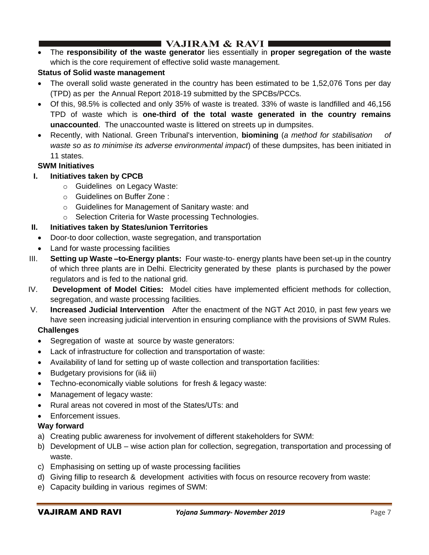## $\blacksquare$  VAJIRAM & RAVI  $\blacksquare$

• The **responsibility of the waste generator** lies essentially in **proper segregation of the waste** which is the core requirement of effective solid waste management.

## **Status of Solid waste management**

- The overall solid waste generated in the country has been estimated to be 1,52,076 Tons per day (TPD) as per the Annual Report 2018-19 submitted by the SPCBs/PCCs.
- Of this, 98.5% is collected and only 35% of waste is treated. 33% of waste is landfilled and 46,156 TPD of waste which is **one-third of the total waste generated in the country remains unaccounted**. The unaccounted waste is littered on streets up in dumpsites.
- Recently, with National. Green Tribunal's intervention, **biomining** (*a method for stabilisation of waste so as to minimise its adverse environmental impact*) of these dumpsites, has been initiated in 11 states.

### **SWM Initiatives**

- **I. Initiatives taken by CPCB** 
	- o Guidelines on Legacy Waste:
	- o Guidelines on Buffer Zone :
	- o Guidelines for Management of Sanitary waste: and
	- o Selection Criteria for Waste processing Technologies.

### **II. Initiatives taken by States/union Territories**

- Door-to door collection, waste segregation, and transportation
- Land for waste processing facilities
- III. **Setting up Waste –to-Energy plants:** Four waste-to- energy plants have been set-up in the country of which three plants are in Delhi. Electricity generated by these plants is purchased by the power regulators and is fed to the national grid.
- IV. **Development of Model Cities:** Model cities have implemented efficient methods for collection, segregation, and waste processing facilities.
- V. **Increased Judicial Intervention** After the enactment of the NGT Act 2010, in past few years we have seen increasing judicial intervention in ensuring compliance with the provisions of SWM Rules. **Challenges** 
	- Segregation of waste at source by waste generators:
	- Lack of infrastructure for collection and transportation of waste:
	- Availability of land for setting up of waste collection and transportation facilities:
	- Budgetary provisions for (ii& iii)
	- Techno-economically viable solutions for fresh & legacy waste:
	- Management of legacy waste:
	- Rural areas not covered in most of the States/UTs: and
	- Enforcement issues.

### **Way forward**

- a) Creating public awareness for involvement of different stakeholders for SWM:
- b) Development of ULB wise action plan for collection, segregation, transportation and processing of waste.
- c) Emphasising on setting up of waste processing facilities
- d) Giving fillip to research & development activities with focus on resource recovery from waste:
- e) Capacity building in various regimes of SWM: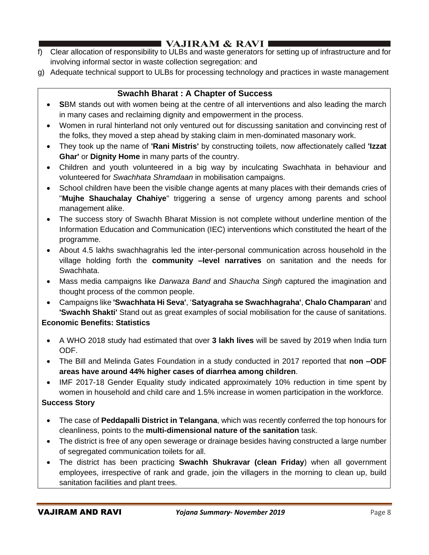# I VAJIRAM & RAVI I

- f) Clear allocation of responsibility to ULBs and waste generators for setting up of infrastructure and for involving informal sector in waste collection segregation: and
- g) Adequate technical support to ULBs for processing technology and practices in waste management

### **Swachh Bharat : A Chapter of Success**

- **S**BM stands out with women being at the centre of all interventions and also leading the march in many cases and reclaiming dignity and empowerment in the process.
- Women in rural hinterland not only ventured out for discussing sanitation and convincing rest of the folks, they moved a step ahead by staking claim in men-dominated masonary work.
- They took up the name of **'Rani Mistris'** by constructing toilets, now affectionately called **'Izzat Ghar'** or **Dignity Home** in many parts of the country.
- Children and youth volunteered in a big way by inculcating Swachhata in behaviour and volunteered for *Swachhata Shramdaan* in mobilisation campaigns.
- School children have been the visible change agents at many places with their demands cries of "**Mujhe Shauchalay Chahiye**" triggering a sense of urgency among parents and school management alike.
- The success story of Swachh Bharat Mission is not complete without underline mention of the Information Education and Communication (IEC) interventions which constituted the heart of the programme.
- About 4.5 lakhs swachhagrahis led the inter-personal communication across household in the village holding forth the **community –level narratives** on sanitation and the needs for Swachhata.
- Mass media campaigns like *Darwaza Band* and *Shaucha Singh* captured the imagination and thought process of the common people.
- Campaigns like **'Swachhata Hi Seva'**, '**Satyagraha se Swachhagraha'**, **Chalo Champaran**' and **'Swachh Shakti'** Stand out as great examples of social mobilisation for the cause of sanitations. **Economic Benefits: Statistics** 
	- A WHO 2018 study had estimated that over **3 lakh lives** will be saved by 2019 when India turn ODF.
	- The Bill and Melinda Gates Foundation in a study conducted in 2017 reported that **non –ODF areas have around 44% higher cases of diarrhea among children**.
	- IMF 2017-18 Gender Equality study indicated approximately 10% reduction in time spent by women in household and child care and 1.5% increase in women participation in the workforce.

### **Success Story**

- The case of **Peddapalli District in Telangana**, which was recently conferred the top honours for cleanliness, points to the **multi-dimensional nature of the sanitation** task.
- The district is free of any open sewerage or drainage besides having constructed a large number of segregated communication toilets for all.
- The district has been practicing **Swachh Shukravar (clean Friday**) when all government employees, irrespective of rank and grade, join the villagers in the morning to clean up, build sanitation facilities and plant trees.